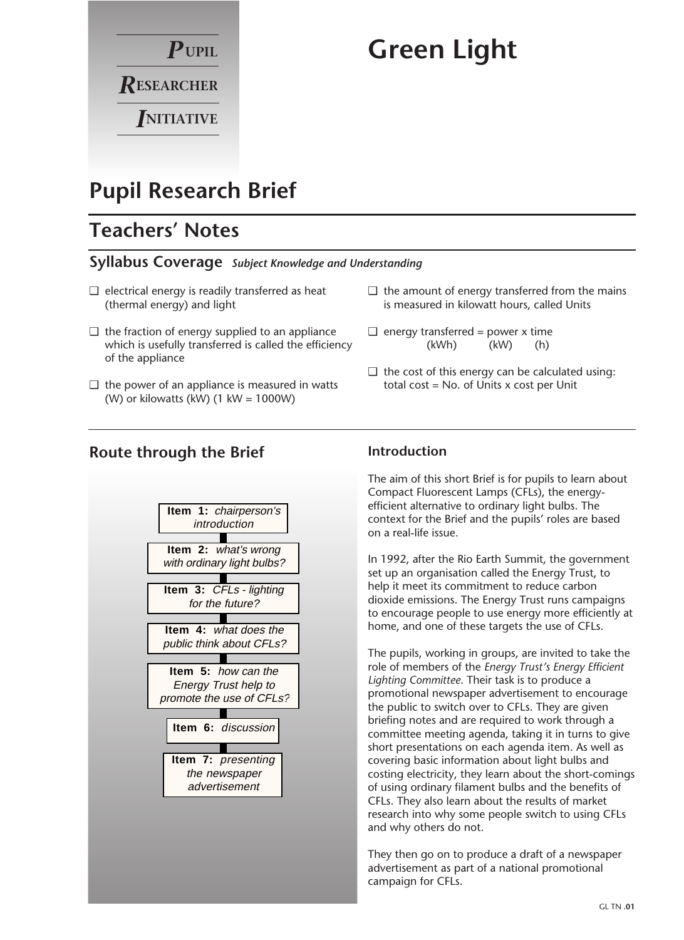

# **Green Light**

## **Pupil Research Brief**

### **Teachers' Notes**

### **Syllabus Coverage** *Subject Knowledge and Understanding*

- $\Box$  electrical energy is readily transferred as heat (thermal energy) and light
- $\Box$  the fraction of energy supplied to an appliance which is usefully transferred is called the efficiency of the appliance
- $\Box$  the power of an appliance is measured in watts (W) or kilowatts (kW)  $(1 \text{ kW} = 1000 \text{W})$

### **Route through the Brief**



#### $\Box$  the amount of energy transferred from the mains is measured in kilowatt hours, called Units

- $\Box$  energy transferred = power x time (kWh) (kW) (h)
- $\Box$  the cost of this energy can be calculated using: total  $cost = No$ . of Units  $x$  cost per Unit

### **Introduction**

The aim of this short Brief is for pupils to learn about Compact Fluorescent Lamps (CFLs), the energyefficient alternative to ordinary light bulbs. The context for the Brief and the pupils' roles are based on a real-life issue.

In 1992, after the Rio Earth Summit, the government set up an organisation called the Energy Trust, to help it meet its commitment to reduce carbon dioxide emissions. The Energy Trust runs campaigns to encourage people to use energy more efficiently at home, and one of these targets the use of CFLs.

The pupils, working in groups, are invited to take the role of members of the *Energy Trust's Energy Efficient Lighting Committee*. Their task is to produce a promotional newspaper advertisement to encourage the public to switch over to CFLs. They are given briefing notes and are required to work through a committee meeting agenda, taking it in turns to give short presentations on each agenda item. As well as covering basic information about light bulbs and costing electricity, they learn about the short-comings of using ordinary filament bulbs and the benefits of CFLs. They also learn about the results of market research into why some people switch to using CFLs and why others do not.

They then go on to produce a draft of a newspaper advertisement as part of a national promotional campaign for CFLs.